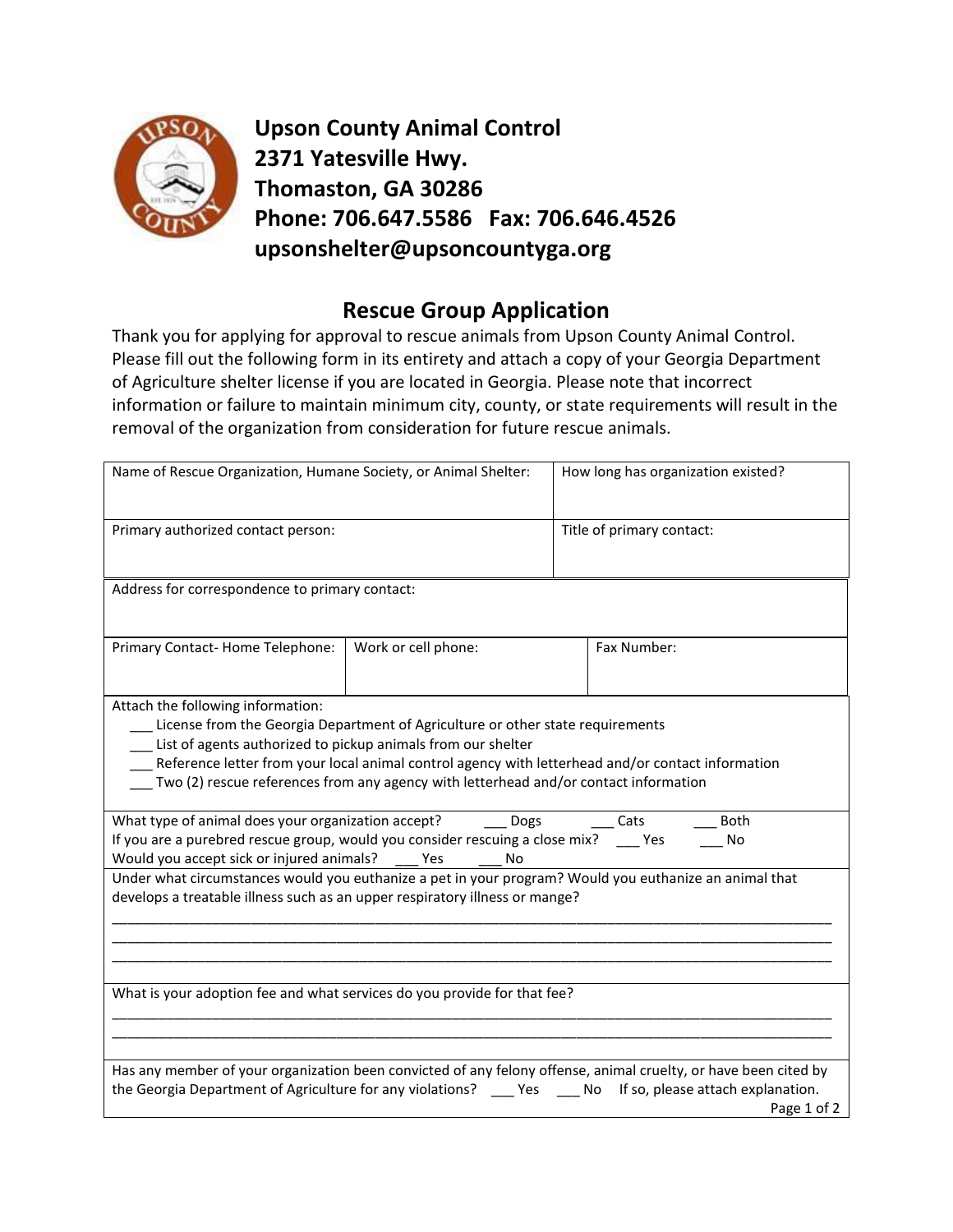

**Upson County Animal Control 2371 Yatesville Hwy. Thomaston, GA 30286 Phone: 706.647.5586 Fax: 706.646.4526 upsonshelter@upsoncountyga.org**

## **Rescue Group Application**

Thank you for applying for approval to rescue animals from Upson County Animal Control. Please fill out the following form in its entirety and attach a copy of your Georgia Department of Agriculture shelter license if you are located in Georgia. Please note that incorrect information or failure to maintain minimum city, county, or state requirements will result in the removal of the organization from consideration for future rescue animals.

| Name of Rescue Organization, Humane Society, or Animal Shelter:                                                                                                                                                                                                                                                                                                                  |                     | How long has organization existed? |                                                                                                                                                                                                                                                |  |
|----------------------------------------------------------------------------------------------------------------------------------------------------------------------------------------------------------------------------------------------------------------------------------------------------------------------------------------------------------------------------------|---------------------|------------------------------------|------------------------------------------------------------------------------------------------------------------------------------------------------------------------------------------------------------------------------------------------|--|
| Primary authorized contact person:                                                                                                                                                                                                                                                                                                                                               |                     | Title of primary contact:          |                                                                                                                                                                                                                                                |  |
| Address for correspondence to primary contact:                                                                                                                                                                                                                                                                                                                                   |                     |                                    |                                                                                                                                                                                                                                                |  |
| Primary Contact-Home Telephone:                                                                                                                                                                                                                                                                                                                                                  | Work or cell phone: |                                    | Fax Number:                                                                                                                                                                                                                                    |  |
| Attach the following information:<br>License from the Georgia Department of Agriculture or other state requirements<br>List of agents authorized to pickup animals from our shelter<br>Reference letter from your local animal control agency with letterhead and/or contact information<br>Two (2) rescue references from any agency with letterhead and/or contact information |                     |                                    |                                                                                                                                                                                                                                                |  |
| What type of animal does your organization accept? _______ Dogs<br><b>Both</b><br>Cats<br>If you are a purebred rescue group, would you consider rescuing a close mix? _____ Yes<br>No<br>Would you accept sick or injured animals?<br><b>Yes</b><br>No                                                                                                                          |                     |                                    |                                                                                                                                                                                                                                                |  |
| Under what circumstances would you euthanize a pet in your program? Would you euthanize an animal that<br>develops a treatable illness such as an upper respiratory illness or mange?                                                                                                                                                                                            |                     |                                    |                                                                                                                                                                                                                                                |  |
| What is your adoption fee and what services do you provide for that fee?                                                                                                                                                                                                                                                                                                         |                     |                                    |                                                                                                                                                                                                                                                |  |
|                                                                                                                                                                                                                                                                                                                                                                                  |                     |                                    | Has any member of your organization been convicted of any felony offense, animal cruelty, or have been cited by<br>the Georgia Department of Agriculture for any violations? ____ Yes ____ No If so, please attach explanation.<br>Page 1 of 2 |  |